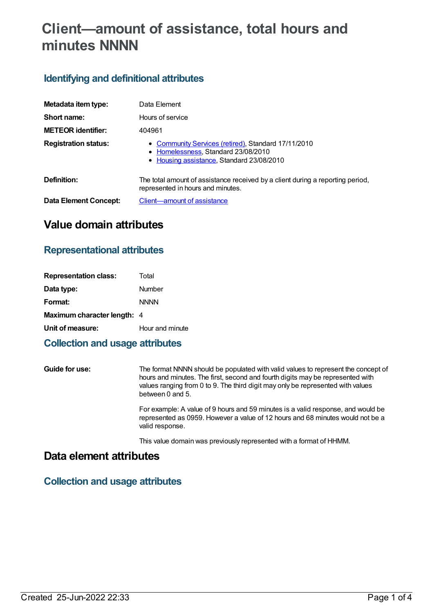# **Client—amount of assistance, total hours and minutes NNNN**

## **Identifying and definitional attributes**

| Metadata item type:         | Data Element                                                                                                                            |
|-----------------------------|-----------------------------------------------------------------------------------------------------------------------------------------|
| Short name:                 | Hours of service                                                                                                                        |
| <b>METEOR identifier:</b>   | 404961                                                                                                                                  |
| <b>Registration status:</b> | • Community Services (retired), Standard 17/11/2010<br>• Homelessness, Standard 23/08/2010<br>• Housing assistance, Standard 23/08/2010 |
| Definition:                 | The total amount of assistance received by a client during a reporting period,<br>represented in hours and minutes.                     |
| Data Element Concept:       | Client-amount of assistance                                                                                                             |

## **Value domain attributes**

## **Representational attributes**

| <b>Representation class:</b>       | Total           |
|------------------------------------|-----------------|
| Data type:                         | Number          |
| Format:                            | <b>NNNN</b>     |
| <b>Maximum character length: 4</b> |                 |
| Unit of measure:                   | Hour and minute |
|                                    |                 |

## **Collection and usage attributes**

**Guide for use:** The format NNNN should be populated with valid values to represent the concept of hours and minutes. The first, second and fourth digits may be represented with values ranging from 0 to 9. The third digit may only be represented with values between 0 and 5.

> For example: A value of 9 hours and 59 minutes is a valid response, and would be represented as 0959. However a value of 12 hours and 68 minutes would not be a valid response.

This value domain was previously represented with a format of HHMM.

## **Data element attributes**

## **Collection and usage attributes**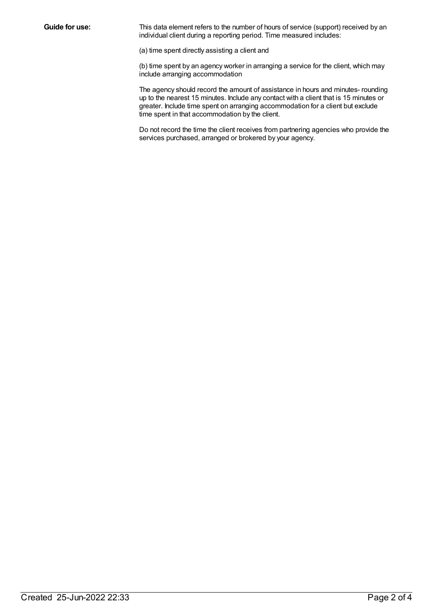**Guide for use:** This data element refers to the number of hours of service (support) received by an individual client during a reporting period. Time measured includes:

(a) time spent directly assisting a client and

(b) time spent by an agency worker in arranging a service for the client, which may include arranging accommodation

The agency should record the amount of assistance in hours and minutes- rounding up to the nearest 15 minutes. Include any contact with a client that is 15 minutes or greater. Include time spent on arranging accommodation for a client but exclude time spent in that accommodation by the client.

Do not record the time the client receives from partnering agencies who provide the services purchased, arranged or brokered by your agency.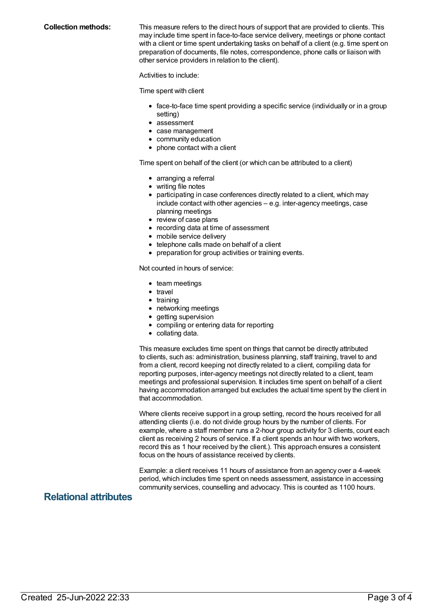**Collection methods:** This measure refers to the direct hours of support that are provided to clients. This may include time spent in face-to-face service delivery, meetings or phone contact with a client or time spent undertaking tasks on behalf of a client (e.g. time spent on preparation of documents, file notes, correspondence, phone calls or liaison with other service providers in relation to the client).

Activities to include:

Time spent with client

- face-to-face time spent providing a specific service (individually or in a group setting)
- assessment
- case management
- community education
- phone contact with a client

Time spent on behalf of the client (or which can be attributed to a client)

- arranging a referral
- writing file notes
- participating in case conferences directly related to a client, which may include contact with other agencies – e.g. inter-agency meetings, case planning meetings
- review of case plans
- recording data at time of assessment
- mobile service delivery
- telephone calls made on behalf of a client
- preparation for group activities or training events.

Not counted in hours of service:

- team meetings
- $\bullet$  travel
- $\bullet$  training
- networking meetings
- getting supervision
- compiling or entering data for reporting
- collating data.

This measure excludes time spent on things that cannot be directly attributed to clients, such as: administration, business planning, staff training, travel to and from a client, record keeping not directly related to a client, compiling data for reporting purposes, inter-agency meetings not directly related to a client, team meetings and professional supervision. It includes time spent on behalf of a client having accommodation arranged but excludes the actual time spent by the client in that accommodation.

Where clients receive support in a group setting, record the hours received for all attending clients (i.e. do not divide group hours by the number of clients. For example, where a staff member runs a 2-hour group activity for 3 clients, count each client as receiving 2 hours of service. If a client spends an hour with two workers, record this as 1 hour received by the client.). This approach ensures a consistent focus on the hours of assistance received by clients.

Example: a client receives 11 hours of assistance from an agency over a 4-week period, which includes time spent on needs assessment, assistance in accessing community services, counselling and advocacy. This is counted as 1100 hours.

### **Relational attributes**